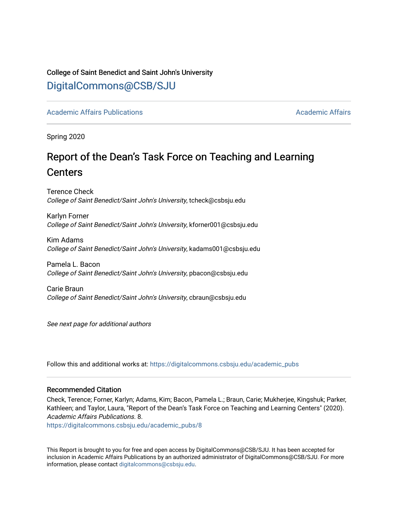# College of Saint Benedict and Saint John's University [DigitalCommons@CSB/SJU](https://digitalcommons.csbsju.edu/)

[Academic Affairs Publications](https://digitalcommons.csbsju.edu/academic_pubs) [Academic Affairs](https://digitalcommons.csbsju.edu/academic) Academic Affairs Academic Affairs Academic Affairs

Spring 2020

# Report of the Dean's Task Force on Teaching and Learning **Centers**

Terence Check College of Saint Benedict/Saint John's University, tcheck@csbsju.edu

Karlyn Forner College of Saint Benedict/Saint John's University, kforner001@csbsju.edu

Kim Adams College of Saint Benedict/Saint John's University, kadams001@csbsju.edu

Pamela L. Bacon College of Saint Benedict/Saint John's University, pbacon@csbsju.edu

Carie Braun College of Saint Benedict/Saint John's University, cbraun@csbsju.edu

See next page for additional authors

Follow this and additional works at: [https://digitalcommons.csbsju.edu/academic\\_pubs](https://digitalcommons.csbsju.edu/academic_pubs?utm_source=digitalcommons.csbsju.edu%2Facademic_pubs%2F8&utm_medium=PDF&utm_campaign=PDFCoverPages) 

#### Recommended Citation

Check, Terence; Forner, Karlyn; Adams, Kim; Bacon, Pamela L.; Braun, Carie; Mukherjee, Kingshuk; Parker, Kathleen; and Taylor, Laura, "Report of the Dean's Task Force on Teaching and Learning Centers" (2020). Academic Affairs Publications. 8.

[https://digitalcommons.csbsju.edu/academic\\_pubs/8](https://digitalcommons.csbsju.edu/academic_pubs/8?utm_source=digitalcommons.csbsju.edu%2Facademic_pubs%2F8&utm_medium=PDF&utm_campaign=PDFCoverPages) 

This Report is brought to you for free and open access by DigitalCommons@CSB/SJU. It has been accepted for inclusion in Academic Affairs Publications by an authorized administrator of DigitalCommons@CSB/SJU. For more information, please contact [digitalcommons@csbsju.edu.](mailto:digitalcommons@csbsju.edu)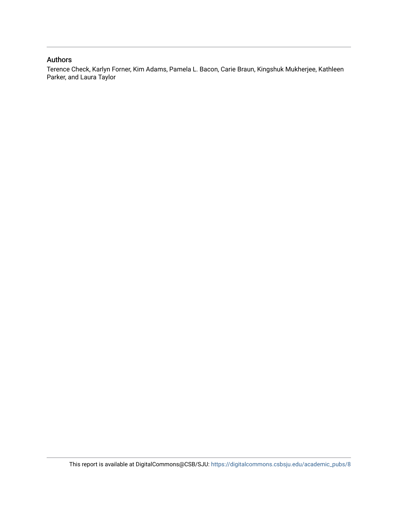# Authors

Terence Check, Karlyn Forner, Kim Adams, Pamela L. Bacon, Carie Braun, Kingshuk Mukherjee, Kathleen Parker, and Laura Taylor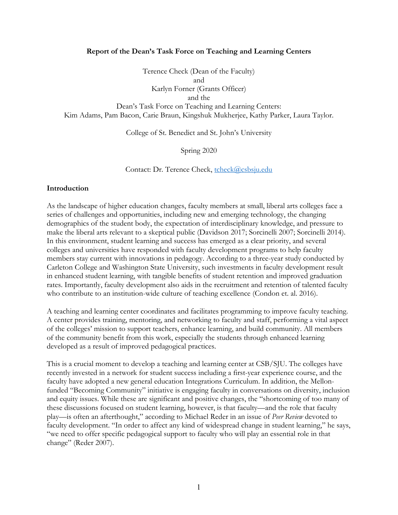#### **Report of the Dean's Task Force on Teaching and Learning Centers**

Terence Check (Dean of the Faculty) and Karlyn Forner (Grants Officer) and the Dean's Task Force on Teaching and Learning Centers: Kim Adams, Pam Bacon, Carie Braun, Kingshuk Mukherjee, Kathy Parker, Laura Taylor.

College of St. Benedict and St. John's University

Spring 2020

Contact: Dr. Terence Check, tcheck@csbsju.edu

#### **Introduction**

As the landscape of higher education changes, faculty members at small, liberal arts colleges face a series of challenges and opportunities, including new and emerging technology, the changing demographics of the student body, the expectation of interdisciplinary knowledge, and pressure to make the liberal arts relevant to a skeptical public (Davidson 2017; Sorcinelli 2007; Sorcinelli 2014). In this environment, student learning and success has emerged as a clear priority, and several colleges and universities have responded with faculty development programs to help faculty members stay current with innovations in pedagogy. According to a three-year study conducted by Carleton College and Washington State University, such investments in faculty development result in enhanced student learning, with tangible benefits of student retention and improved graduation rates. Importantly, faculty development also aids in the recruitment and retention of talented faculty who contribute to an institution-wide culture of teaching excellence (Condon et. al. 2016).

A teaching and learning center coordinates and facilitates programming to improve faculty teaching. A center provides training, mentoring, and networking to faculty and staff, performing a vital aspect of the colleges' mission to support teachers, enhance learning, and build community. All members of the community benefit from this work, especially the students through enhanced learning developed as a result of improved pedagogical practices.

This is a crucial moment to develop a teaching and learning center at CSB/SJU. The colleges have recently invested in a network for student success including a first-year experience course, and the faculty have adopted a new general education Integrations Curriculum. In addition, the Mellonfunded "Becoming Community" initiative is engaging faculty in conversations on diversity, inclusion and equity issues. While these are significant and positive changes, the "shortcoming of too many of these discussions focused on student learning, however, is that faculty—and the role that faculty play—is often an afterthought," according to Michael Reder in an issue of *Peer Review* devoted to faculty development. "In order to affect any kind of widespread change in student learning," he says, "we need to offer specific pedagogical support to faculty who will play an essential role in that change" (Reder 2007).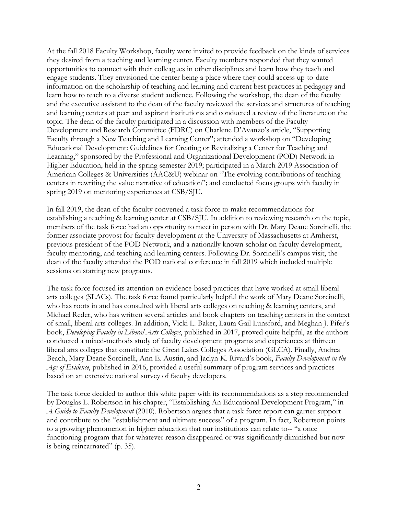At the fall 2018 Faculty Workshop, faculty were invited to provide feedback on the kinds of services they desired from a teaching and learning center. Faculty members responded that they wanted opportunities to connect with their colleagues in other disciplines and learn how they teach and engage students. They envisioned the center being a place where they could access up-to-date information on the scholarship of teaching and learning and current best practices in pedagogy and learn how to teach to a diverse student audience. Following the workshop, the dean of the faculty and the executive assistant to the dean of the faculty reviewed the services and structures of teaching and learning centers at peer and aspirant institutions and conducted a review of the literature on the topic. The dean of the faculty participated in a discussion with members of the Faculty Development and Research Committee (FDRC) on Charlene D'Avanzo's article, "Supporting Faculty through a New Teaching and Learning Center"; attended a workshop on "Developing Educational Development: Guidelines for Creating or Revitalizing a Center for Teaching and Learning," sponsored by the Professional and Organizational Development (POD) Network in Higher Education, held in the spring semester 2019; participated in a March 2019 Association of American Colleges & Universities (AAC&U) webinar on "The evolving contributions of teaching centers in rewriting the value narrative of education"; and conducted focus groups with faculty in spring 2019 on mentoring experiences at CSB/SJU.

In fall 2019, the dean of the faculty convened a task force to make recommendations for establishing a teaching & learning center at CSB/SJU. In addition to reviewing research on the topic, members of the task force had an opportunity to meet in person with Dr. Mary Deane Sorcinelli, the former associate provost for faculty development at the University of Massachusetts at Amherst, previous president of the POD Network, and a nationally known scholar on faculty development, faculty mentoring, and teaching and learning centers. Following Dr. Sorcinelli's campus visit, the dean of the faculty attended the POD national conference in fall 2019 which included multiple sessions on starting new programs.

The task force focused its attention on evidence-based practices that have worked at small liberal arts colleges (SLACs). The task force found particularly helpful the work of Mary Deane Sorcinelli, who has roots in and has consulted with liberal arts colleges on teaching & learning centers, and Michael Reder, who has written several articles and book chapters on teaching centers in the context of small, liberal arts colleges. In addition, Vicki L. Baker, Laura Gail Lunsford, and Meghan J. Pifer's book, *Developing Faculty in Liberal Arts Colleges*, published in 2017, proved quite helpful, as the authors conducted a mixed-methods study of faculty development programs and experiences at thirteen liberal arts colleges that constitute the Great Lakes Colleges Association (GLCA). Finally, Andrea Beach, Mary Deane Sorcinelli, Ann E. Austin, and Jaclyn K. Rivard's book, *Faculty Development in the Age of Evidence*, published in 2016, provided a useful summary of program services and practices based on an extensive national survey of faculty developers.

The task force decided to author this white paper with its recommendations as a step recommended by Douglas L. Robertson in his chapter, "Establishing An Educational Development Program," in *A Guide to Faculty Development* (2010). Robertson argues that a task force report can garner support and contribute to the "establishment and ultimate success" of a program. In fact, Robertson points to a growing phenomenon in higher education that our institutions can relate to-- "a once functioning program that for whatever reason disappeared or was significantly diminished but now is being reincarnated" (p. 35).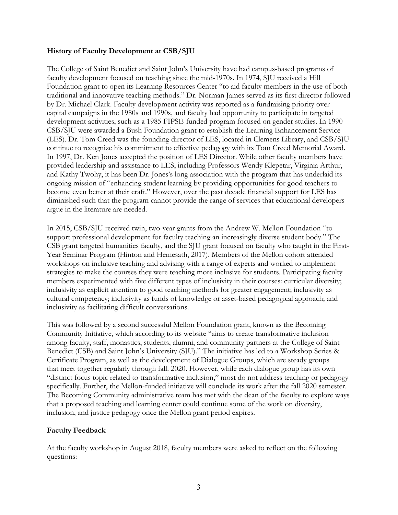# **History of Faculty Development at CSB/SJU**

The College of Saint Benedict and Saint John's University have had campus-based programs of faculty development focused on teaching since the mid-1970s. In 1974, SJU received a Hill Foundation grant to open its Learning Resources Center "to aid faculty members in the use of both traditional and innovative teaching methods." Dr. Norman James served as its first director followed by Dr. Michael Clark. Faculty development activity was reported as a fundraising priority over capital campaigns in the 1980s and 1990s, and faculty had opportunity to participate in targeted development activities, such as a 1985 FIPSE-funded program focused on gender studies. In 1990 CSB/SJU were awarded a Bush Foundation grant to establish the Learning Enhancement Service (LES). Dr. Tom Creed was the founding director of LES, located in Clemens Library, and CSB/SJU continue to recognize his commitment to effective pedagogy with its Tom Creed Memorial Award. In 1997, Dr. Ken Jones accepted the position of LES Director. While other faculty members have provided leadership and assistance to LES, including Professors Wendy Klepetar, Virginia Arthur, and Kathy Twohy, it has been Dr. Jones's long association with the program that has underlaid its ongoing mission of "enhancing student learning by providing opportunities for good teachers to become even better at their craft." However, over the past decade financial support for LES has diminished such that the program cannot provide the range of services that educational developers argue in the literature are needed.

In 2015, CSB/SJU received twin, two-year grants from the Andrew W. Mellon Foundation "to support professional development for faculty teaching an increasingly diverse student body." The CSB grant targeted humanities faculty, and the SJU grant focused on faculty who taught in the First-Year Seminar Program (Hinton and Hemesath, 2017). Members of the Mellon cohort attended workshops on inclusive teaching and advising with a range of experts and worked to implement strategies to make the courses they were teaching more inclusive for students. Participating faculty members experimented with five different types of inclusivity in their courses: curricular diversity; inclusivity as explicit attention to good teaching methods for greater engagement; inclusivity as cultural competency; inclusivity as funds of knowledge or asset-based pedagogical approach; and inclusivity as facilitating difficult conversations.

This was followed by a second successful Mellon Foundation grant, known as the Becoming Community Initiative, which according to its website "aims to create transformative inclusion among faculty, staff, monastics, students, alumni, and community partners at the College of Saint Benedict (CSB) and Saint John's University (SJU)." The initiative has led to a Workshop Series & Certificate Program, as well as the development of Dialogue Groups, which are steady groups that meet together regularly through fall. 2020. However, while each dialogue group has its own "distinct focus topic related to transformative inclusion," most do not address teaching or pedagogy specifically. Further, the Mellon-funded initiative will conclude its work after the fall 2020 semester. The Becoming Community administrative team has met with the dean of the faculty to explore ways that a proposed teaching and learning center could continue some of the work on diversity, inclusion, and justice pedagogy once the Mellon grant period expires.

# **Faculty Feedback**

At the faculty workshop in August 2018, faculty members were asked to reflect on the following questions: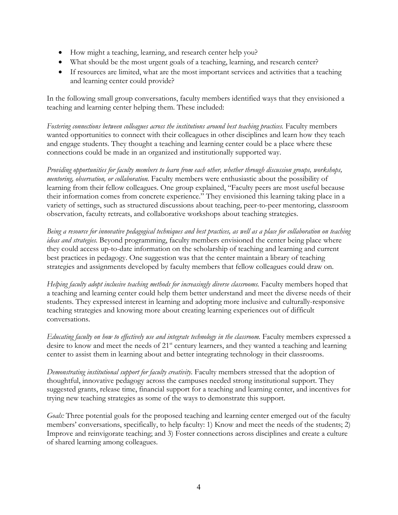- How might a teaching, learning, and research center help you?
- What should be the most urgent goals of a teaching, learning, and research center?
- If resources are limited, what are the most important services and activities that a teaching and learning center could provide?

In the following small group conversations, faculty members identified ways that they envisioned a teaching and learning center helping them. These included:

*Fostering connections between colleagues across the institutions around best teaching practices.* Faculty members wanted opportunities to connect with their colleagues in other disciplines and learn how they teach and engage students. They thought a teaching and learning center could be a place where these connections could be made in an organized and institutionally supported way.

*Providing opportunities for faculty members to learn from each other, whether through discussion groups, workshops, mentoring, observation, or collaboration.* Faculty members were enthusiastic about the possibility of learning from their fellow colleagues. One group explained, "Faculty peers are most useful because their information comes from concrete experience." They envisioned this learning taking place in a variety of settings, such as structured discussions about teaching, peer-to-peer mentoring, classroom observation, faculty retreats, and collaborative workshops about teaching strategies.

*Being a resource for innovative pedagogical techniques and best practices, as well as a place for collaboration on teaching ideas and strategies.* Beyond programming, faculty members envisioned the center being place where they could access up-to-date information on the scholarship of teaching and learning and current best practices in pedagogy. One suggestion was that the center maintain a library of teaching strategies and assignments developed by faculty members that fellow colleagues could draw on.

*Helping faculty adopt inclusive teaching methods for increasingly diverse classrooms.* Faculty members hoped that a teaching and learning center could help them better understand and meet the diverse needs of their students. They expressed interest in learning and adopting more inclusive and culturally-responsive teaching strategies and knowing more about creating learning experiences out of difficult conversations.

*Educating faculty on how to effectively use and integrate technology in the classroom.* Faculty members expressed a desire to know and meet the needs of 21<sup>st</sup> century learners, and they wanted a teaching and learning center to assist them in learning about and better integrating technology in their classrooms.

*Demonstrating institutional support for faculty creativity.* Faculty members stressed that the adoption of thoughtful, innovative pedagogy across the campuses needed strong institutional support. They suggested grants, release time, financial support for a teaching and learning center, and incentives for trying new teaching strategies as some of the ways to demonstrate this support.

*Goals:* Three potential goals for the proposed teaching and learning center emerged out of the faculty members' conversations, specifically, to help faculty: 1) Know and meet the needs of the students; 2) Improve and reinvigorate teaching; and 3) Foster connections across disciplines and create a culture of shared learning among colleagues.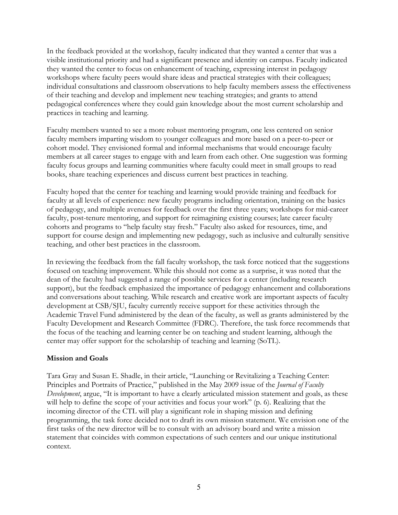In the feedback provided at the workshop, faculty indicated that they wanted a center that was a visible institutional priority and had a significant presence and identity on campus. Faculty indicated they wanted the center to focus on enhancement of teaching, expressing interest in pedagogy workshops where faculty peers would share ideas and practical strategies with their colleagues; individual consultations and classroom observations to help faculty members assess the effectiveness of their teaching and develop and implement new teaching strategies; and grants to attend pedagogical conferences where they could gain knowledge about the most current scholarship and practices in teaching and learning.

Faculty members wanted to see a more robust mentoring program, one less centered on senior faculty members imparting wisdom to younger colleagues and more based on a peer-to-peer or cohort model. They envisioned formal and informal mechanisms that would encourage faculty members at all career stages to engage with and learn from each other. One suggestion was forming faculty focus groups and learning communities where faculty could meet in small groups to read books, share teaching experiences and discuss current best practices in teaching.

Faculty hoped that the center for teaching and learning would provide training and feedback for faculty at all levels of experience: new faculty programs including orientation, training on the basics of pedagogy, and multiple avenues for feedback over the first three years; workshops for mid-career faculty, post-tenure mentoring, and support for reimagining existing courses; late career faculty cohorts and programs to "help faculty stay fresh." Faculty also asked for resources, time, and support for course design and implementing new pedagogy, such as inclusive and culturally sensitive teaching, and other best practices in the classroom.

In reviewing the feedback from the fall faculty workshop, the task force noticed that the suggestions focused on teaching improvement. While this should not come as a surprise, it was noted that the dean of the faculty had suggested a range of possible services for a center (including research support), but the feedback emphasized the importance of pedagogy enhancement and collaborations and conversations about teaching. While research and creative work are important aspects of faculty development at CSB/SJU, faculty currently receive support for these activities through the Academic Travel Fund administered by the dean of the faculty, as well as grants administered by the Faculty Development and Research Committee (FDRC). Therefore, the task force recommends that the focus of the teaching and learning center be on teaching and student learning, although the center may offer support for the scholarship of teaching and learning (SoTL).

# **Mission and Goals**

Tara Gray and Susan E. Shadle, in their article, "Launching or Revitalizing a Teaching Center: Principles and Portraits of Practice," published in the May 2009 issue of the *Journal of Faculty Development*, argue, "It is important to have a clearly articulated mission statement and goals, as these will help to define the scope of your activities and focus your work" (p. 6). Realizing that the incoming director of the CTL will play a significant role in shaping mission and defining programming, the task force decided not to draft its own mission statement. We envision one of the first tasks of the new director will be to consult with an advisory board and write a mission statement that coincides with common expectations of such centers and our unique institutional context.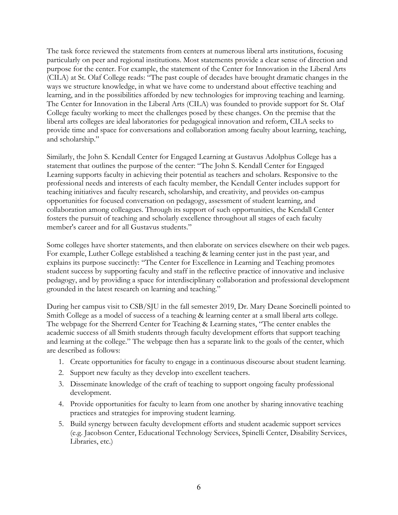The task force reviewed the statements from centers at numerous liberal arts institutions, focusing particularly on peer and regional institutions. Most statements provide a clear sense of direction and purpose for the center. For example, the statement of the Center for Innovation in the Liberal Arts (CILA) at St. Olaf College reads: "The past couple of decades have brought dramatic changes in the ways we structure knowledge, in what we have come to understand about effective teaching and learning, and in the possibilities afforded by new technologies for improving teaching and learning. The Center for Innovation in the Liberal Arts (CILA) was founded to provide support for St. Olaf College faculty working to meet the challenges posed by these changes. On the premise that the liberal arts colleges are ideal laboratories for pedagogical innovation and reform, CILA seeks to provide time and space for conversations and collaboration among faculty about learning, teaching, and scholarship."

Similarly, the John S. Kendall Center for Engaged Learning at Gustavus Adolphus College has a statement that outlines the purpose of the center: "The John S. Kendall Center for Engaged Learning supports faculty in achieving their potential as teachers and scholars. Responsive to the professional needs and interests of each faculty member, the Kendall Center includes support for teaching initiatives and faculty research, scholarship, and creativity, and provides on-campus opportunities for focused conversation on pedagogy, assessment of student learning, and collaboration among colleagues. Through its support of such opportunities, the Kendall Center fosters the pursuit of teaching and scholarly excellence throughout all stages of each faculty member's career and for all Gustavus students."

Some colleges have shorter statements, and then elaborate on services elsewhere on their web pages. For example, Luther College established a teaching & learning center just in the past year, and explains its purpose succinctly: "The Center for Excellence in Learning and Teaching promotes student success by supporting faculty and staff in the reflective practice of innovative and inclusive pedagogy, and by providing a space for interdisciplinary collaboration and professional development grounded in the latest research on learning and teaching."

During her campus visit to CSB/SJU in the fall semester 2019, Dr. Mary Deane Sorcinelli pointed to Smith College as a model of success of a teaching & learning center at a small liberal arts college. The webpage for the Sherrerd Center for Teaching & Learning states, "The center enables the academic success of all Smith students through faculty development efforts that support teaching and learning at the college." The webpage then has a separate link to the goals of the center, which are described as follows:

- 1. Create opportunities for faculty to engage in a continuous discourse about student learning.
- 2. Support new faculty as they develop into excellent teachers.
- 3. Disseminate knowledge of the craft of teaching to support ongoing faculty professional development.
- 4. Provide opportunities for faculty to learn from one another by sharing innovative teaching practices and strategies for improving student learning.
- 5. Build synergy between faculty development efforts and student academic support services (e.g. Jacobson Center, Educational Technology Services, Spinelli Center, Disability Services, Libraries, etc.)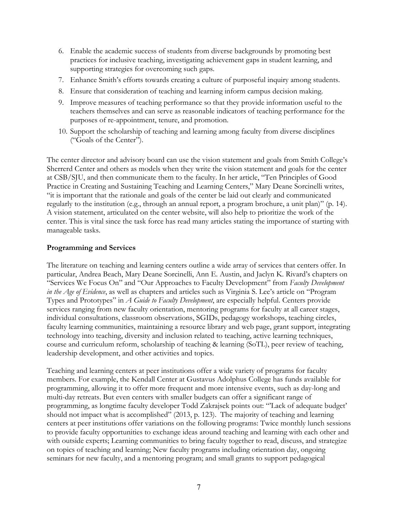- 6. Enable the academic success of students from diverse backgrounds by promoting best practices for inclusive teaching, investigating achievement gaps in student learning, and supporting strategies for overcoming such gaps.
- 7. Enhance Smith's efforts towards creating a culture of purposeful inquiry among students.
- 8. Ensure that consideration of teaching and learning inform campus decision making.
- 9. Improve measures of teaching performance so that they provide information useful to the teachers themselves and can serve as reasonable indicators of teaching performance for the purposes of re-appointment, tenure, and promotion.
- 10. Support the scholarship of teaching and learning among faculty from diverse disciplines ("Goals of the Center").

The center director and advisory board can use the vision statement and goals from Smith College's Sherrerd Center and others as models when they write the vision statement and goals for the center at CSB/SJU, and then communicate them to the faculty. In her article, "Ten Principles of Good Practice in Creating and Sustaining Teaching and Learning Centers," Mary Deane Sorcinelli writes, "it is important that the rationale and goals of the center be laid out clearly and communicated regularly to the institution (e.g., through an annual report, a program brochure, a unit plan)" (p. 14). A vision statement, articulated on the center website, will also help to prioritize the work of the center. This is vital since the task force has read many articles stating the importance of starting with manageable tasks.

# **Programming and Services**

The literature on teaching and learning centers outline a wide array of services that centers offer. In particular, Andrea Beach, Mary Deane Sorcinelli, Ann E. Austin, and Jaclyn K. Rivard's chapters on "Services We Focus On" and "Our Approaches to Faculty Development" from *Faculty Development in the Age of Evidence*, as well as chapters and articles such as Virginia S. Lee's article on "Program Types and Prototypes" in *A Guide to Faculty Development*, are especially helpful. Centers provide services ranging from new faculty orientation, mentoring programs for faculty at all career stages, individual consultations, classroom observations, SGIDs, pedagogy workshops, teaching circles, faculty learning communities, maintaining a resource library and web page, grant support, integrating technology into teaching, diversity and inclusion related to teaching, active learning techniques, course and curriculum reform, scholarship of teaching & learning (SoTL), peer review of teaching, leadership development, and other activities and topics.

Teaching and learning centers at peer institutions offer a wide variety of programs for faculty members. For example, the Kendall Center at Gustavus Adolphus College has funds available for programming, allowing it to offer more frequent and more intensive events, such as day-long and multi-day retreats. But even centers with smaller budgets can offer a significant range of programming, as longtime faculty developer Todd Zakrajsek points out: "'Lack of adequate budget' should not impact what is accomplished" (2013, p. 123). The majority of teaching and learning centers at peer institutions offer variations on the following programs: Twice monthly lunch sessions to provide faculty opportunities to exchange ideas around teaching and learning with each other and with outside experts; Learning communities to bring faculty together to read, discuss, and strategize on topics of teaching and learning; New faculty programs including orientation day, ongoing seminars for new faculty, and a mentoring program; and small grants to support pedagogical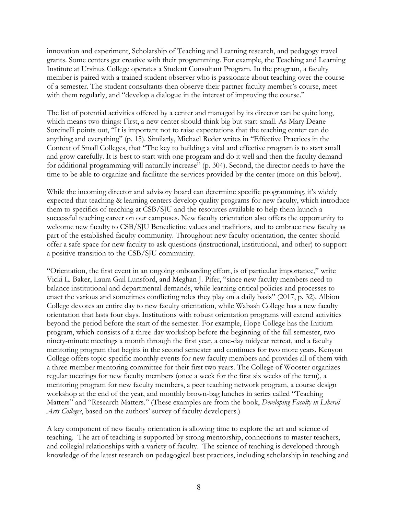innovation and experiment, Scholarship of Teaching and Learning research, and pedagogy travel grants. Some centers get creative with their programming. For example, the Teaching and Learning Institute at Ursinus College operates a Student Consultant Program. In the program, a faculty member is paired with a trained student observer who is passionate about teaching over the course of a semester. The student consultants then observe their partner faculty member's course, meet with them regularly, and "develop a dialogue in the interest of improving the course."

The list of potential activities offered by a center and managed by its director can be quite long, which means two things: First, a new center should think big but start small. As Mary Deane Sorcinelli points out, "It is important not to raise expectations that the teaching center can do anything and everything" (p. 15). Similarly, Michael Reder writes in "Effective Practices in the Context of Small Colleges, that "The key to building a vital and effective program is to start small and grow carefully. It is best to start with one program and do it well and then the faculty demand for additional programming will naturally increase" (p. 304). Second, the director needs to have the time to be able to organize and facilitate the services provided by the center (more on this below).

While the incoming director and advisory board can determine specific programming, it's widely expected that teaching & learning centers develop quality programs for new faculty, which introduce them to specifics of teaching at CSB/SJU and the resources available to help them launch a successful teaching career on our campuses. New faculty orientation also offers the opportunity to welcome new faculty to CSB/SJU Benedictine values and traditions, and to embrace new faculty as part of the established faculty community. Throughout new faculty orientation, the center should offer a safe space for new faculty to ask questions (instructional, institutional, and other) to support a positive transition to the CSB/SJU community.

"Orientation, the first event in an ongoing onboarding effort, is of particular importance," write Vicki L. Baker, Laura Gail Lunsford, and Meghan J. Pifer, "since new faculty members need to balance institutional and departmental demands, while learning critical policies and processes to enact the various and sometimes conflicting roles they play on a daily basis" (2017, p. 32). Albion College devotes an entire day to new faculty orientation, while Wabash College has a new faculty orientation that lasts four days. Institutions with robust orientation programs will extend activities beyond the period before the start of the semester. For example, Hope College has the Initium program, which consists of a three-day workshop before the beginning of the fall semester, two ninety-minute meetings a month through the first year, a one-day midyear retreat, and a faculty mentoring program that begins in the second semester and continues for two more years. Kenyon College offers topic-specific monthly events for new faculty members and provides all of them with a three-member mentoring committee for their first two years. The College of Wooster organizes regular meetings for new faculty members (once a week for the first six weeks of the term), a mentoring program for new faculty members, a peer teaching network program, a course design workshop at the end of the year, and monthly brown-bag lunches in series called "Teaching Matters" and "Research Matters." (These examples are from the book, *Developing Faculty in Liberal Arts Colleges*, based on the authors' survey of faculty developers.)

A key component of new faculty orientation is allowing time to explore the art and science of teaching. The art of teaching is supported by strong mentorship, connections to master teachers, and collegial relationships with a variety of faculty. The science of teaching is developed through knowledge of the latest research on pedagogical best practices, including scholarship in teaching and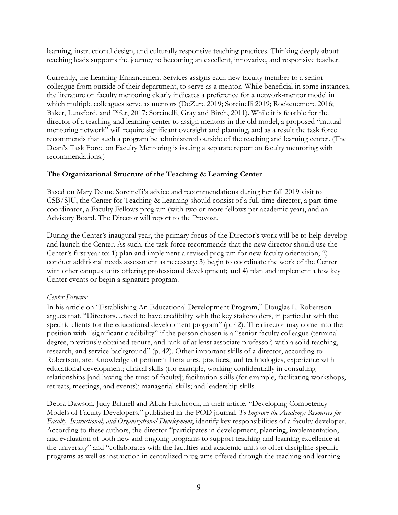learning, instructional design, and culturally responsive teaching practices. Thinking deeply about teaching leads supports the journey to becoming an excellent, innovative, and responsive teacher.

Currently, the Learning Enhancement Services assigns each new faculty member to a senior colleague from outside of their department, to serve as a mentor. While beneficial in some instances, the literature on faculty mentoring clearly indicates a preference for a network-mentor model in which multiple colleagues serve as mentors (DeZure 2019; Sorcinelli 2019; Rockquemore 2016; Baker, Lunsford, and Pifer, 2017: Sorcinelli, Gray and Birch, 2011). While it is feasible for the director of a teaching and learning center to assign mentors in the old model, a proposed "mutual mentoring network" will require significant oversight and planning, and as a result the task force recommends that such a program be administered outside of the teaching and learning center. (The Dean's Task Force on Faculty Mentoring is issuing a separate report on faculty mentoring with recommendations.)

# **The Organizational Structure of the Teaching & Learning Center**

Based on Mary Deane Sorcinelli's advice and recommendations during her fall 2019 visit to CSB/SJU, the Center for Teaching & Learning should consist of a full-time director, a part-time coordinator, a Faculty Fellows program (with two or more fellows per academic year), and an Advisory Board. The Director will report to the Provost.

During the Center's inaugural year, the primary focus of the Director's work will be to help develop and launch the Center. As such, the task force recommends that the new director should use the Center's first year to: 1) plan and implement a revised program for new faculty orientation; 2) conduct additional needs assessment as necessary; 3) begin to coordinate the work of the Center with other campus units offering professional development; and 4) plan and implement a few key Center events or begin a signature program.

# *Center Director*

In his article on "Establishing An Educational Development Program," Douglas L. Robertson argues that, "Directors…need to have credibility with the key stakeholders, in particular with the specific clients for the educational development program" (p. 42). The director may come into the position with "significant credibility" if the person chosen is a "senior faculty colleague (terminal degree, previously obtained tenure, and rank of at least associate professor) with a solid teaching, research, and service background" (p. 42). Other important skills of a director, according to Robertson, are: Knowledge of pertinent literatures, practices, and technologies; experience with educational development; clinical skills (for example, working confidentially in consulting relationships [and having the trust of faculty]; facilitation skills (for example, facilitating workshops, retreats, meetings, and events); managerial skills; and leadership skills.

Debra Dawson, Judy Britnell and Alicia Hitchcock, in their article, "Developing Competency Models of Faculty Developers," published in the POD journal, *To Improve the Academy: Resources for Faculty, Instructional, and Organizational Development*, identify key responsibilities of a faculty developer. According to these authors, the director "participates in development, planning, implementation, and evaluation of both new and ongoing programs to support teaching and learning excellence at the university" and "collaborates with the faculties and academic units to offer discipline-specific programs as well as instruction in centralized programs offered through the teaching and learning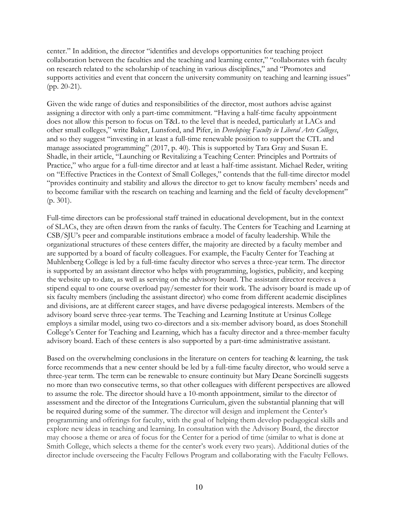center." In addition, the director "identifies and develops opportunities for teaching project collaboration between the faculties and the teaching and learning center," "collaborates with faculty on research related to the scholarship of teaching in various disciplines," and "Promotes and supports activities and event that concern the university community on teaching and learning issues" (pp. 20-21).

Given the wide range of duties and responsibilities of the director, most authors advise against assigning a director with only a part-time commitment. "Having a half-time faculty appointment does not allow this person to focus on T&L to the level that is needed, particularly at LACs and other small colleges," write Baker, Lunsford, and Pifer, in *Developing Faculty in Liberal Arts Colleges*, and so they suggest "investing in at least a full-time renewable position to support the CTL and manage associated programming" (2017, p. 40). This is supported by Tara Gray and Susan E. Shadle, in their article, "Launching or Revitalizing a Teaching Center: Principles and Portraits of Practice," who argue for a full-time director and at least a half-time assistant. Michael Reder, writing on "Effective Practices in the Context of Small Colleges," contends that the full-time director model "provides continuity and stability and allows the director to get to know faculty members' needs and to become familiar with the research on teaching and learning and the field of faculty development" (p. 301).

Full-time directors can be professional staff trained in educational development, but in the context of SLACs, they are often drawn from the ranks of faculty. The Centers for Teaching and Learning at CSB/SJU's peer and comparable institutions embrace a model of faculty leadership. While the organizational structures of these centers differ, the majority are directed by a faculty member and are supported by a board of faculty colleagues. For example, the Faculty Center for Teaching at Muhlenberg College is led by a full-time faculty director who serves a three-year term. The director is supported by an assistant director who helps with programming, logistics, publicity, and keeping the website up to date, as well as serving on the advisory board. The assistant director receives a stipend equal to one course overload pay/semester for their work. The advisory board is made up of six faculty members (including the assistant director) who come from different academic disciplines and divisions, are at different career stages, and have diverse pedagogical interests. Members of the advisory board serve three-year terms. The Teaching and Learning Institute at Ursinus College employs a similar model, using two co-directors and a six-member advisory board, as does Stonehill College's Center for Teaching and Learning, which has a faculty director and a three-member faculty advisory board. Each of these centers is also supported by a part-time administrative assistant.

Based on the overwhelming conclusions in the literature on centers for teaching & learning, the task force recommends that a new center should be led by a full-time faculty director, who would serve a three-year term. The term can be renewable to ensure continuity but Mary Deane Sorcinelli suggests no more than two consecutive terms, so that other colleagues with different perspectives are allowed to assume the role. The director should have a 10-month appointment, similar to the director of assessment and the director of the Integrations Curriculum, given the substantial planning that will be required during some of the summer. The director will design and implement the Center's programming and offerings for faculty, with the goal of helping them develop pedagogical skills and explore new ideas in teaching and learning. In consultation with the Advisory Board, the director may choose a theme or area of focus for the Center for a period of time (similar to what is done at Smith College, which selects a theme for the center's work every two years). Additional duties of the director include overseeing the Faculty Fellows Program and collaborating with the Faculty Fellows.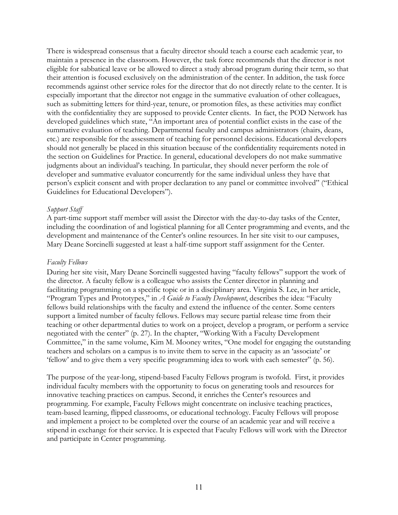There is widespread consensus that a faculty director should teach a course each academic year, to maintain a presence in the classroom. However, the task force recommends that the director is not eligible for sabbatical leave or be allowed to direct a study abroad program during their term, so that their attention is focused exclusively on the administration of the center. In addition, the task force recommends against other service roles for the director that do not directly relate to the center. It is especially important that the director not engage in the summative evaluation of other colleagues, such as submitting letters for third-year, tenure, or promotion files, as these activities may conflict with the confidentiality they are supposed to provide Center clients. In fact, the POD Network has developed guidelines which state, "An important area of potential conflict exists in the case of the summative evaluation of teaching. Departmental faculty and campus administrators (chairs, deans, etc.) are responsible for the assessment of teaching for personnel decisions. Educational developers should not generally be placed in this situation because of the confidentiality requirements noted in the section on Guidelines for Practice. In general, educational developers do not make summative judgments about an individual's teaching. In particular, they should never perform the role of developer and summative evaluator concurrently for the same individual unless they have that person's explicit consent and with proper declaration to any panel or committee involved" ("Ethical Guidelines for Educational Developers").

#### *Support Staff*

A part-time support staff member will assist the Director with the day-to-day tasks of the Center, including the coordination of and logistical planning for all Center programming and events, and the development and maintenance of the Center's online resources. In her site visit to our campuses, Mary Deane Sorcinelli suggested at least a half-time support staff assignment for the Center.

#### *Faculty Fellows*

During her site visit, Mary Deane Sorcinelli suggested having "faculty fellows" support the work of the director. A faculty fellow is a colleague who assists the Center director in planning and facilitating programming on a specific topic or in a disciplinary area. Virginia S. Lee, in her article, "Program Types and Prototypes," in *A Guide to Faculty Development*, describes the idea: "Faculty fellows build relationships with the faculty and extend the influence of the center. Some centers support a limited number of faculty fellows. Fellows may secure partial release time from their teaching or other departmental duties to work on a project, develop a program, or perform a service negotiated with the center" (p. 27). In the chapter, "Working With a Faculty Development Committee," in the same volume, Kim M. Mooney writes, "One model for engaging the outstanding teachers and scholars on a campus is to invite them to serve in the capacity as an 'associate' or 'fellow' and to give them a very specific programming idea to work with each semester" (p. 56).

The purpose of the year-long, stipend-based Faculty Fellows program is twofold. First, it provides individual faculty members with the opportunity to focus on generating tools and resources for innovative teaching practices on campus. Second, it enriches the Center's resources and programming. For example, Faculty Fellows might concentrate on inclusive teaching practices, team-based learning, flipped classrooms, or educational technology. Faculty Fellows will propose and implement a project to be completed over the course of an academic year and will receive a stipend in exchange for their service. It is expected that Faculty Fellows will work with the Director and participate in Center programming.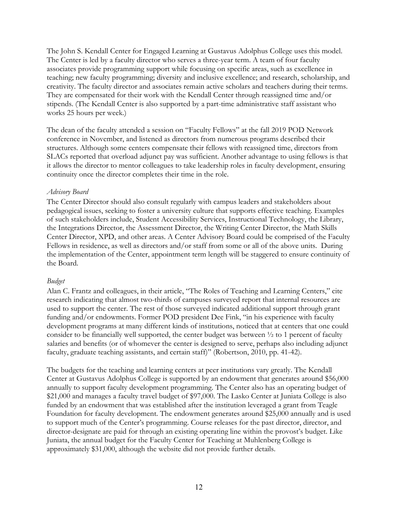The John S. Kendall Center for Engaged Learning at Gustavus Adolphus College uses this model. The Center is led by a faculty director who serves a three-year term. A team of four faculty associates provide programming support while focusing on specific areas, such as excellence in teaching; new faculty programming; diversity and inclusive excellence; and research, scholarship, and creativity. The faculty director and associates remain active scholars and teachers during their terms. They are compensated for their work with the Kendall Center through reassigned time and/or stipends. (The Kendall Center is also supported by a part-time administrative staff assistant who works 25 hours per week.)

The dean of the faculty attended a session on "Faculty Fellows" at the fall 2019 POD Network conference in November, and listened as directors from numerous programs described their structures. Although some centers compensate their fellows with reassigned time, directors from SLACs reported that overload adjunct pay was sufficient. Another advantage to using fellows is that it allows the director to mentor colleagues to take leadership roles in faculty development, ensuring continuity once the director completes their time in the role.

### *Advisory Board*

The Center Director should also consult regularly with campus leaders and stakeholders about pedagogical issues, seeking to foster a university culture that supports effective teaching. Examples of such stakeholders include, Student Accessibility Services, Instructional Technology, the Library, the Integrations Director, the Assessment Director, the Writing Center Director, the Math Skills Center Director, XPD, and other areas. A Center Advisory Board could be comprised of the Faculty Fellows in residence, as well as directors and/or staff from some or all of the above units. During the implementation of the Center, appointment term length will be staggered to ensure continuity of the Board.

# *Budget*

Alan C. Frantz and colleagues, in their article, "The Roles of Teaching and Learning Centers," cite research indicating that almost two-thirds of campuses surveyed report that internal resources are used to support the center. The rest of those surveyed indicated additional support through grant funding and/or endowments. Former POD president Dee Fink, "in his experience with faculty development programs at many different kinds of institutions, noticed that at centers that one could consider to be financially well supported, the center budget was between ½ to 1 percent of faculty salaries and benefits (or of whomever the center is designed to serve, perhaps also including adjunct faculty, graduate teaching assistants, and certain staff)" (Robertson, 2010, pp. 41-42).

The budgets for the teaching and learning centers at peer institutions vary greatly. The Kendall Center at Gustavus Adolphus College is supported by an endowment that generates around \$56,000 annually to support faculty development programming. The Center also has an operating budget of \$21,000 and manages a faculty travel budget of \$97,000. The Lasko Center at Juniata College is also funded by an endowment that was established after the institution leveraged a grant from Teagle Foundation for faculty development. The endowment generates around \$25,000 annually and is used to support much of the Center's programming. Course releases for the past director, director, and director-designate are paid for through an existing operating line within the provost's budget. Like Juniata, the annual budget for the Faculty Center for Teaching at Muhlenberg College is approximately \$31,000, although the website did not provide further details.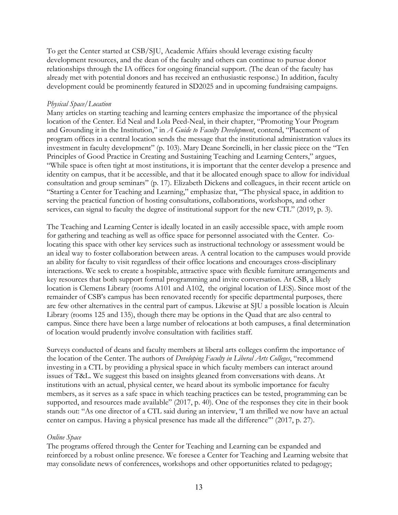To get the Center started at CSB/SJU, Academic Affairs should leverage existing faculty development resources, and the dean of the faculty and others can continue to pursue donor relationships through the IA offices for ongoing financial support. (The dean of the faculty has already met with potential donors and has received an enthusiastic response.) In addition, faculty development could be prominently featured in SD2025 and in upcoming fundraising campaigns.

#### *Physical Space/Location*

Many articles on starting teaching and learning centers emphasize the importance of the physical location of the Center. Ed Neal and Lola Peed-Neal, in their chapter, "Promoting Your Program and Grounding it in the Institution," in *A Guide to Faculty Development*, contend, "Placement of program offices in a central location sends the message that the institutional administration values its investment in faculty development" (p. 103). Mary Deane Sorcinelli, in her classic piece on the "Ten Principles of Good Practice in Creating and Sustaining Teaching and Learning Centers," argues, "While space is often tight at most institutions, it is important that the center develop a presence and identity on campus, that it be accessible, and that it be allocated enough space to allow for individual consultation and group seminars" (p. 17). Elizabeth Dickens and colleagues, in their recent article on "Starting a Center for Teaching and Learning," emphasize that, "The physical space, in addition to serving the practical function of hosting consultations, collaborations, workshops, and other services, can signal to faculty the degree of institutional support for the new CTL" (2019, p. 3).

The Teaching and Learning Center is ideally located in an easily accessible space, with ample room for gathering and teaching as well as office space for personnel associated with the Center. Colocating this space with other key services such as instructional technology or assessment would be an ideal way to foster collaboration between areas. A central location to the campuses would provide an ability for faculty to visit regardless of their office locations and encourages cross-disciplinary interactions. We seek to create a hospitable, attractive space with flexible furniture arrangements and key resources that both support formal programming and invite conversation. At CSB, a likely location is Clemens Library (rooms A101 and A102, the original location of LES). Since most of the remainder of CSB's campus has been renovated recently for specific departmental purposes, there are few other alternatives in the central part of campus. Likewise at SJU a possible location is Alcuin Library (rooms 125 and 135), though there may be options in the Quad that are also central to campus. Since there have been a large number of relocations at both campuses, a final determination of location would prudently involve consultation with facilities staff.

Surveys conducted of deans and faculty members at liberal arts colleges confirm the importance of the location of the Center. The authors of *Developing Faculty in Liberal Arts Colleges*, "recommend investing in a CTL by providing a physical space in which faculty members can interact around issues of T&L. We suggest this based on insights gleaned from conversations with deans. At institutions with an actual, physical center, we heard about its symbolic importance for faculty members, as it serves as a safe space in which teaching practices can be tested, programming can be supported, and resources made available" (2017, p. 40). One of the responses they cite in their book stands out: "As one director of a CTL said during an interview, 'I am thrilled we now have an actual center on campus. Having a physical presence has made all the difference'" (2017, p. 27).

# *Online Space*

The programs offered through the Center for Teaching and Learning can be expanded and reinforced by a robust online presence. We foresee a Center for Teaching and Learning website that may consolidate news of conferences, workshops and other opportunities related to pedagogy;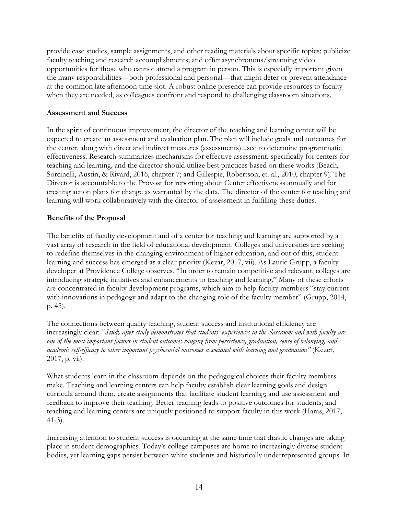provide case studies, sample assignments, and other reading materials about specific topics; publicize faculty teaching and research accomplishments; and offer asynchronous/streaming video opportunities for those who cannot attend a program in person. This is especially important given the many responsibilities—both professional and personal—that might deter or prevent attendance at the common late afternoon time slot. A robust online presence can provide resources to faculty when they are needed, as colleagues confront and respond to challenging classroom situations.

# **Assessment and Success**

In the spirit of continuous improvement, the director of the teaching and learning center will be expected to create an assessment and evaluation plan. The plan will include goals and outcomes for the center, along with direct and indirect measures (assessments) used to determine programmatic effectiveness. Research summarizes mechanisms for effective assessment, specifically for centers for teaching and learning, and the director should utilize best practices based on these works (Beach, Sorcinelli, Austin, & Rivard, 2016, chapter 7; and Gillespie, Robertson, et. al., 2010, chapter 9). The Director is accountable to the Provost for reporting about Center effectiveness annually and for creating action plans for change as warranted by the data. The director of the center for teaching and learning will work collaboratively with the director of assessment in fulfilling these duties.

# **Benefits of the Proposal**

The benefits of faculty development and of a center for teaching and learning are supported by a vast array of research in the field of educational development. Colleges and universities are seeking to redefine themselves in the changing environment of higher education, and out of this, student learning and success has emerged as a clear priority (Kezar, 2017, vii). As Laurie Grupp, a faculty developer at Providence College observes, "In order to remain competitive and relevant, colleges are introducing strategic initiatives and enhancements to teaching and learning." Many of these efforts are concentrated in faculty development programs, which aim to help faculty members "stay current with innovations in pedagogy and adapt to the changing role of the faculty member" (Grupp, 2014, p. 45).

The connections between quality teaching, student success and institutional efficiency are increasingly clear: "*Study after study demonstrates that students' experiences in the classroom and with faculty are one of the most important factors in student outcomes ranging from persistence, graduation, sense of belonging, and academic self-efficacy to other important psychosocial outcomes associated with learning and graduation"* (Kezer, 2017, p. vii).

What students learn in the classroom depends on the pedagogical choices their faculty members make. Teaching and learning centers can help faculty establish clear learning goals and design curricula around them, create assignments that facilitate student learning; and use assessment and feedback to improve their teaching. Better teaching leads to positive outcomes for students, and teaching and learning centers are uniquely positioned to support faculty in this work (Haras, 2017, 41-3).

Increasing attention to student success is occurring at the same time that drastic changes are taking place in student demographics. Today's college campuses are home to increasingly diverse student bodies, yet learning gaps persist between white students and historically underrepresented groups. In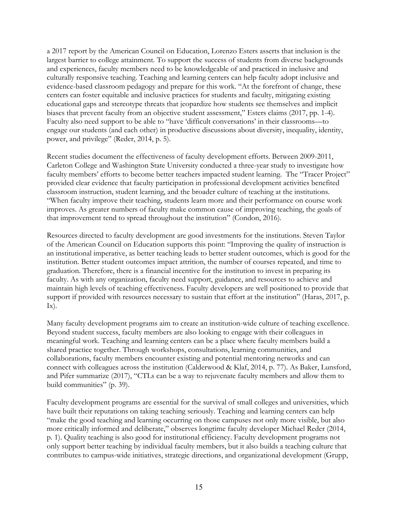a 2017 report by the American Council on Education, Lorenzo Esters asserts that inclusion is the largest barrier to college attainment. To support the success of students from diverse backgrounds and experiences, faculty members need to be knowledgeable of and practiced in inclusive and culturally responsive teaching. Teaching and learning centers can help faculty adopt inclusive and evidence-based classroom pedagogy and prepare for this work. "At the forefront of change, these centers can foster equitable and inclusive practices for students and faculty, mitigating existing educational gaps and stereotype threats that jeopardize how students see themselves and implicit biases that prevent faculty from an objective student assessment," Esters claims (2017, pp. 1-4). Faculty also need support to be able to "have 'difficult conversations' in their classrooms—to engage our students (and each other) in productive discussions about diversity, inequality, identity, power, and privilege" (Reder, 2014, p. 5).

Recent studies document the effectiveness of faculty development efforts. Between 2009-2011, Carleton College and Washington State University conducted a three-year study to investigate how faculty members' efforts to become better teachers impacted student learning. The "Tracer Project" provided clear evidence that faculty participation in professional development activities benefited classroom instruction, student learning, and the broader culture of teaching at the institutions. "When faculty improve their teaching, students learn more and their performance on course work improves. As greater numbers of faculty make common cause of improving teaching, the goals of that improvement tend to spread throughout the institution" (Condon, 2016).

Resources directed to faculty development are good investments for the institutions. Steven Taylor of the American Council on Education supports this point: "Improving the quality of instruction is an institutional imperative, as better teaching leads to better student outcomes, which is good for the institution. Better student outcomes impact attrition, the number of courses repeated, and time to graduation. Therefore, there is a financial incentive for the institution to invest in preparing its faculty. As with any organization, faculty need support, guidance, and resources to achieve and maintain high levels of teaching effectiveness. Faculty developers are well positioned to provide that support if provided with resources necessary to sustain that effort at the institution" (Haras, 2017, p.  $\mathbf{I}\mathbf{x}$ .

Many faculty development programs aim to create an institution-wide culture of teaching excellence. Beyond student success, faculty members are also looking to engage with their colleagues in meaningful work. Teaching and learning centers can be a place where faculty members build a shared practice together. Through workshops, consultations, learning communities, and collaborations, faculty members encounter existing and potential mentoring networks and can connect with colleagues across the institution (Calderwood & Klaf, 2014, p. 77). As Baker, Lunsford, and Pifer summarize (2017), "CTLs can be a way to rejuvenate faculty members and allow them to build communities" (p. 39).

Faculty development programs are essential for the survival of small colleges and universities, which have built their reputations on taking teaching seriously. Teaching and learning centers can help "make the good teaching and learning occurring on those campuses not only more visible, but also more critically informed and deliberate," observes longtime faculty developer Michael Reder (2014, p. 1). Quality teaching is also good for institutional efficiency. Faculty development programs not only support better teaching by individual faculty members, but it also builds a teaching culture that contributes to campus-wide initiatives, strategic directions, and organizational development (Grupp,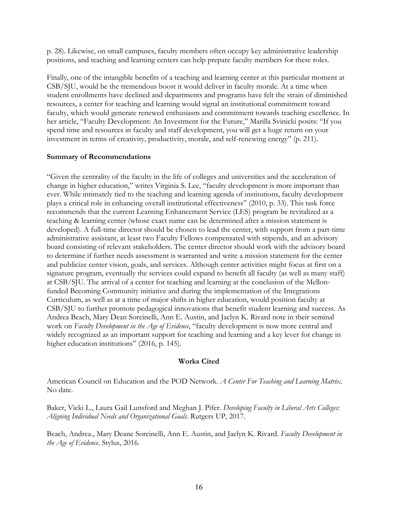p. 28). Likewise, on small campuses, faculty members often occupy key administrative leadership positions, and teaching and learning centers can help prepare faculty members for these roles.

Finally, one of the intangible benefits of a teaching and learning center at this particular moment at CSB/SJU, would be the tremendous boost it would deliver in faculty morale. At a time when student enrollments have declined and departments and programs have felt the strain of diminished resources, a center for teaching and learning would signal an institutional commitment toward faculty, which would generate renewed enthusiasm and commitment towards teaching excellence. In her article, "Faculty Development: An Investment for the Future," Marilla Svinicki posits: "If you spend time and resources in faculty and staff development, you will get a huge return on your investment in terms of creativity, productivity, morale, and self-renewing energy" (p. 211).

#### **Summary of Recommendations**

"Given the centrality of the faculty in the life of colleges and universities and the acceleration of change in higher education," writes Virginia S. Lee, "faculty development is more important than ever. While intimately tied to the teaching and learning agenda of institutions, faculty development plays a critical role in enhancing overall institutional effectiveness" (2010, p. 33). This task force recommends that the current Learning Enhancement Service (LES) program be revitalized as a teaching & learning center (whose exact name can be determined after a mission statement is developed). A full-time director should be chosen to lead the center, with support from a part-time administrative assistant, at least two Faculty Fellows compensated with stipends, and an advisory board consisting of relevant stakeholders. The center director should work with the advisory board to determine if further needs assessment is warranted and write a mission statement for the center and publicize center vision, goals, and services. Although center activities might focus at first on a signature program, eventually the services could expand to benefit all faculty (as well as many staff) at CSB/SJU. The arrival of a center for teaching and learning at the conclusion of the Mellonfunded Becoming Community initiative and during the implementation of the Integrations Curriculum, as well as at a time of major shifts in higher education, would position faculty at CSB/SJU to further promote pedagogical innovations that benefit student learning and success. As Andrea Beach, Mary Dean Sorcinelli, Ann E. Austin, and Jaclyn K. Rivard note in their seminal work on *Faculty Development in the Age of Evidence*, "faculty development is now more central and widely recognized as an important support for teaching and learning and a key lever for change in higher education institutions" (2016, p. 145).

# **Works Cited**

American Council on Education and the POD Network. *A Center For Teaching and Learning Matrix*. No date.

Baker, Vicki L., Laura Gail Lunsford and Meghan J. Pifer. *Developing Faculty in Liberal Arts Colleges: Aligning Individual Needs and Organizational Goals*. Rutgers UP, 2017.

Beach, Andrea., Mary Deane Sorcinelli, Ann E. Austin, and Jaclyn K. Rivard. *Faculty Development in the Age of Evidence*. Stylus, 2016.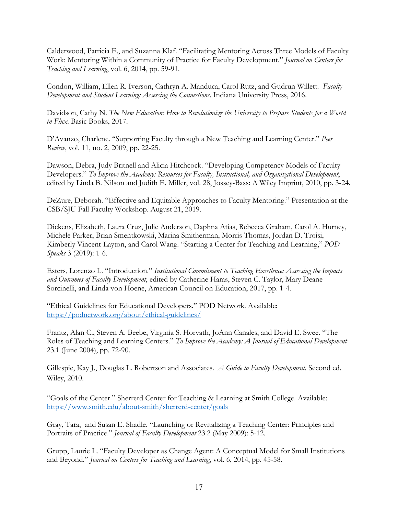Calderwood, Patricia E., and Suzanna Klaf. "Facilitating Mentoring Across Three Models of Faculty Work: Mentoring Within a Community of Practice for Faculty Development." *Journal on Centers for Teaching and Learning*, vol. 6, 2014, pp. 59-91.

Condon, William, Ellen R. Iverson, Cathryn A. Manduca, Carol Rutz, and Gudrun Willett. *Faculty Development and Student Learning: Assessing the Connections*. Indiana University Press, 2016.

Davidson, Cathy N. *The New Education: How to Revolutionize the University to Prepare Students for a World in Flux*. Basic Books, 2017.

D'Avanzo, Charlene. "Supporting Faculty through a New Teaching and Learning Center." *Peer Review*, vol. 11, no. 2, 2009, pp. 22-25.

Dawson, Debra, Judy Britnell and Alicia Hitchcock. "Developing Competency Models of Faculty Developers." *To Improve the Academy: Resources for Faculty, Instructional, and Organizational Development*, edited by Linda B. Nilson and Judith E. Miller, vol. 28, Jossey-Bass: A Wiley Imprint, 2010, pp. 3-24.

DeZure, Deborah. "Effective and Equitable Approaches to Faculty Mentoring." Presentation at the CSB/SJU Fall Faculty Workshop. August 21, 2019.

Dickens, Elizabeth, Laura Cruz, Julie Anderson, Daphna Atias, Rebecca Graham, Carol A. Hurney, Michele Parker, Brian Smentkowski, Marina Smitherman, Morris Thomas, Jordan D. Troisi, Kimberly Vincent-Layton, and Carol Wang. "Starting a Center for Teaching and Learning," *POD Speaks* 3 (2019): 1-6.

Esters, Lorenzo L. "Introduction." *Institutional Commitment to Teaching Excellence: Assessing the Impacts and Outcomes of Faculty Development*, edited by Catherine Haras, Steven C. Taylor, Mary Deane Sorcinelli, and Linda von Hoene, American Council on Education, 2017, pp. 1-4.

"Ethical Guidelines for Educational Developers." POD Network. Available: https://podnetwork.org/about/ethical-guidelines/

Frantz, Alan C., Steven A. Beebe, Virginia S. Horvath, JoAnn Canales, and David E. Swee. "The Roles of Teaching and Learning Centers." *To Improve the Academy: A Journal of Educational Development* 23.1 (June 2004), pp. 72-90.

Gillespie, Kay J., Douglas L. Robertson and Associates. *A Guide to Faculty Development*. Second ed. Wiley, 2010.

"Goals of the Center." Sherrerd Center for Teaching & Learning at Smith College. Available: https://www.smith.edu/about-smith/sherrerd-center/goals

Gray, Tara, and Susan E. Shadle. "Launching or Revitalizing a Teaching Center: Principles and Portraits of Practice." *Journal of Faculty Development* 23.2 (May 2009): 5-12.

Grupp, Laurie L. "Faculty Developer as Change Agent: A Conceptual Model for Small Institutions and Beyond." *Journal on Centers for Teaching and Learning*, vol. 6, 2014, pp. 45-58.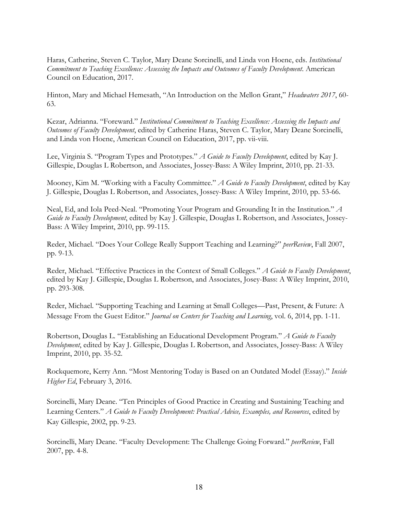Haras, Catherine, Steven C. Taylor, Mary Deane Sorcinelli, and Linda von Hoene, eds. *Institutional Commitment to Teaching Excellence: Assessing the Impacts and Outcomes of Faculty Development*. American Council on Education, 2017.

Hinton, Mary and Michael Hemesath, "An Introduction on the Mellon Grant," *Headwaters 2017*, 60- 63.

Kezar, Adrianna. "Foreward." *Institutional Commitment to Teaching Excellence: Assessing the Impacts and Outcomes of Faculty Development*, edited by Catherine Haras, Steven C. Taylor, Mary Deane Sorcinelli, and Linda von Hoene, American Council on Education, 2017, pp. vii-viii.

Lee, Virginia S. "Program Types and Prototypes." *A Guide to Faculty Development*, edited by Kay J. Gillespie, Douglas L Robertson, and Associates, Jossey-Bass: A Wiley Imprint, 2010, pp. 21-33.

Mooney, Kim M. "Working with a Faculty Committee." *A Guide to Faculty Development*, edited by Kay J. Gillespie, Douglas L Robertson, and Associates, Jossey-Bass: A Wiley Imprint, 2010, pp. 53-66.

Neal, Ed, and Iola Peed-Neal. "Promoting Your Program and Grounding It in the Institution." *A Guide to Faculty Development*, edited by Kay J. Gillespie, Douglas L Robertson, and Associates, Jossey-Bass: A Wiley Imprint, 2010, pp. 99-115.

Reder, Michael. "Does Your College Really Support Teaching and Learning?" *peerReview*, Fall 2007, pp. 9-13.

Reder, Michael. "Effective Practices in the Context of Small Colleges." *A Guide to Faculty Development*, edited by Kay J. Gillespie, Douglas L Robertson, and Associates, Josey-Bass: A Wiley Imprint, 2010, pp. 293-308.

Reder, Michael. "Supporting Teaching and Learning at Small Colleges—Past, Present, & Future: A Message From the Guest Editor." *Journal on Centers for Teaching and Learning*, vol. 6, 2014, pp. 1-11.

Robertson, Douglas L. "Establishing an Educational Development Program." *A Guide to Faculty Development*, edited by Kay J. Gillespie, Douglas L Robertson, and Associates, Jossey-Bass: A Wiley Imprint, 2010, pp. 35-52.

Rockquemore, Kerry Ann. "Most Mentoring Today is Based on an Outdated Model (Essay)." *Inside Higher Ed*, February 3, 2016.

Sorcinelli, Mary Deane. "Ten Principles of Good Practice in Creating and Sustaining Teaching and Learning Centers." *A Guide to Faculty Development: Practical Advice, Examples, and Resources*, edited by Kay Gillespie, 2002, pp. 9-23.

Sorcinelli, Mary Deane. "Faculty Development: The Challenge Going Forward." *peerReview*, Fall 2007, pp. 4-8.